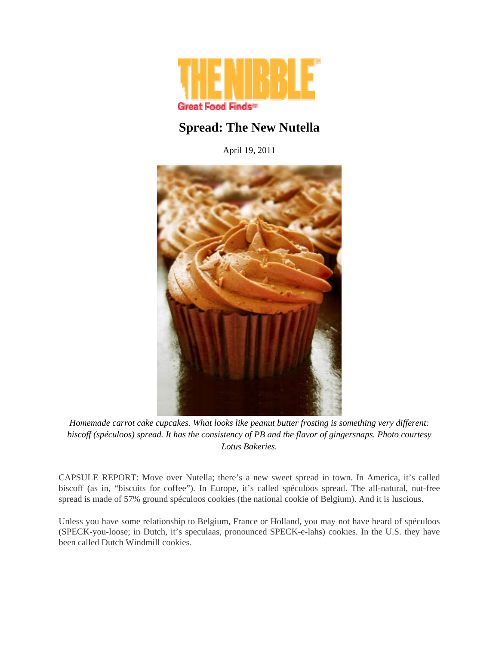

## **Spread: The New Nutella**

April 19, 2011



*Homemade carrot cake cupcakes. What looks like peanut butter frosting is something very different: biscoff (spéculoos) spread. It has the consistency of PB and the flavor of gingersnaps. Photo courtesy Lotus Bakeries.*

CAPSULE REPORT: Move over Nutella; there's a new sweet spread in town. In America, it's called biscoff (as in, "biscuits for coffee"). In Europe, it's called spéculoos spread. The all-natural, nut-free spread is made of 57% ground spéculoos cookies (the national cookie of Belgium). And it is luscious.

Unless you have some relationship to Belgium, France or Holland, you may not have heard of spéculoos (SPECK-you-loose; in Dutch, it's speculaas, pronounced SPECK-e-lahs) cookies. In the U.S. they have been called Dutch Windmill cookies.